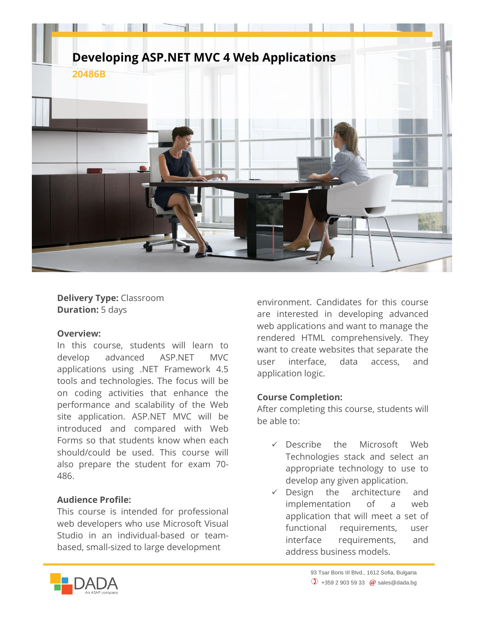

### **Delivery Type:** Classroom **Duration:** 5 days

#### **Overview:**

In this course, students will learn to develop advanced ASP.NET MVC applications using .NET Framework 4.5 tools and technologies. The focus will be on coding activities that enhance the performance and scalability of the Web site application. ASP.NET MVC will be introduced and compared with Web Forms so that students know when each should/could be used. This course will also prepare the student for exam 70- 486.

#### **Audience Profile:**

This course is intended for professional web developers who use Microsoft Visual Studio in an individual-based or teambased, small-sized to large development

environment. Candidates for this course are interested in developing advanced web applications and want to manage the rendered HTML comprehensively. They want to create websites that separate the user interface, data access, and application logic.

## **Course Completion:**

After completing this course, students will be able to:

- Describe the Microsoft Web Technologies stack and select an appropriate technology to use to develop any given application.
- $\checkmark$  Design the architecture and implementation of a web application that will meet a set of functional requirements, user interface requirements, and address business models.